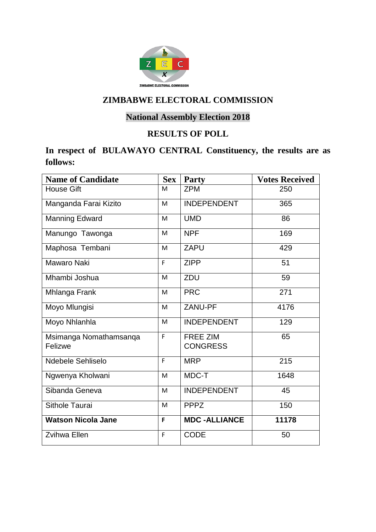

# **National Assembly Election 2018**

### **RESULTS OF POLL**

## **In respect of BULAWAYO CENTRAL Constituency, the results are as follows:**

| <b>Name of Candidate</b>          | <b>Sex</b> | Party                              | <b>Votes Received</b> |
|-----------------------------------|------------|------------------------------------|-----------------------|
| House Gift                        | M          | <b>ZPM</b>                         | 250                   |
| Manganda Farai Kizito             | M          | <b>INDEPENDENT</b>                 | 365                   |
| Manning Edward                    | M          | <b>UMD</b>                         | 86                    |
| Manungo Tawonga                   | M          | <b>NPF</b>                         | 169                   |
| Maphosa Tembani                   | M          | <b>ZAPU</b>                        | 429                   |
| Mawaro Naki                       | F          | <b>ZIPP</b>                        | 51                    |
| Mhambi Joshua                     | M          | ZDU                                | 59                    |
| Mhlanga Frank                     | M          | <b>PRC</b>                         | 271                   |
| Moyo Mlungisi                     | M          | ZANU-PF                            | 4176                  |
| Moyo Nhlanhla                     | M          | <b>INDEPENDENT</b>                 | 129                   |
| Msimanga Nomathamsanqa<br>Felizwe | F          | <b>FREE ZIM</b><br><b>CONGRESS</b> | 65                    |
|                                   |            |                                    |                       |
| Ndebele Sehliselo                 | F          | <b>MRP</b>                         | 215                   |
| Ngwenya Kholwani                  | M          | MDC-T                              | 1648                  |
| Sibanda Geneva                    | M          | <b>INDEPENDENT</b>                 | 45                    |
| Sithole Taurai                    | M          | <b>PPPZ</b>                        | 150                   |
| <b>Watson Nicola Jane</b>         | F          | <b>MDC-ALLIANCE</b>                | 11178                 |
| <b>Zvihwa Ellen</b>               | F          | <b>CODE</b>                        | 50                    |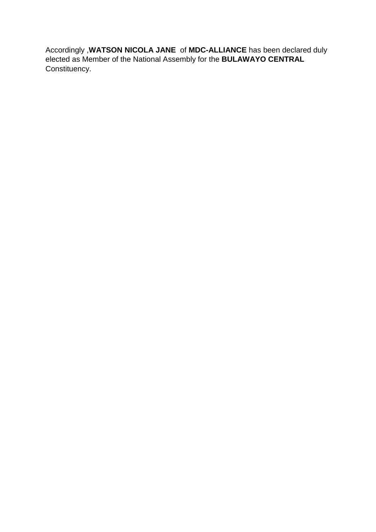Accordingly ,**WATSON NICOLA JANE** of **MDC-ALLIANCE** has been declared duly elected as Member of the National Assembly for the **BULAWAYO CENTRAL** Constituency.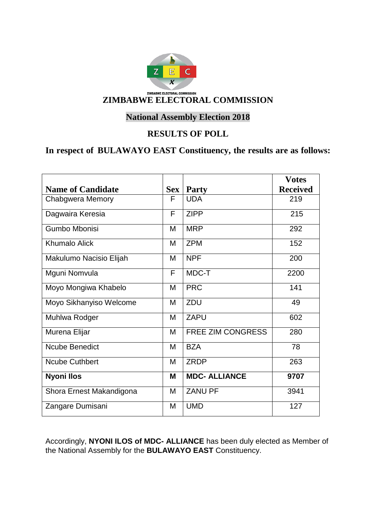

### **National Assembly Election 2018**

#### **RESULTS OF POLL**

## **In respect of BULAWAYO EAST Constituency, the results are as follows:**

|                          |     |                      | <b>Votes</b>    |
|--------------------------|-----|----------------------|-----------------|
| <b>Name of Candidate</b> | Sex | <b>Party</b>         | <b>Received</b> |
| Chabgwera Memory         | F   | <b>UDA</b>           | 219             |
| Dagwaira Keresia         | F   | <b>ZIPP</b>          | 215             |
| Gumbo Mbonisi            | M   | <b>MRP</b>           | 292             |
| <b>Khumalo Alick</b>     | M   | <b>ZPM</b>           | 152             |
| Makulumo Nacisio Elijah  | M   | <b>NPF</b>           | 200             |
| Mguni Nomvula            | F   | MDC-T                | 2200            |
| Moyo Mongiwa Khabelo     | M   | <b>PRC</b>           | 141             |
| Moyo Sikhanyiso Welcome  | M   | ZDU                  | 49              |
| Muhlwa Rodger            | M   | <b>ZAPU</b>          | 602             |
| Murena Elijar            | M   | FREE ZIM CONGRESS    | 280             |
| <b>Ncube Benedict</b>    | M   | <b>BZA</b>           | 78              |
| <b>Ncube Cuthbert</b>    | M   | <b>ZRDP</b>          | 263             |
| <b>Nyoni Ilos</b>        | M   | <b>MDC- ALLIANCE</b> | 9707            |
| Shora Ernest Makandigona | M   | <b>ZANU PF</b>       | 3941            |
| Zangare Dumisani         | M   | <b>UMD</b>           | 127             |

Accordingly, **NYONI ILOS of MDC- ALLIANCE** has been duly elected as Member of the National Assembly for the **BULAWAYO EAST** Constituency.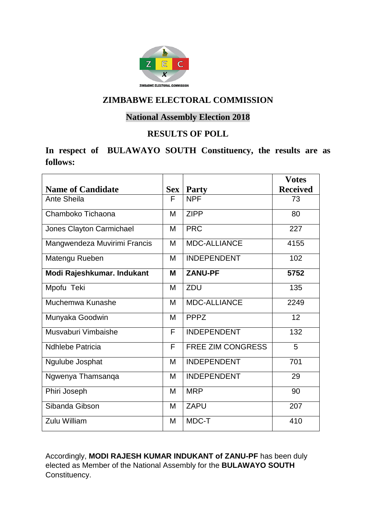

### **National Assembly Election 2018**

### **RESULTS OF POLL**

## **In respect of BULAWAYO SOUTH Constituency, the results are as follows:**

|                              |            |                          | <b>Votes</b>    |
|------------------------------|------------|--------------------------|-----------------|
| <b>Name of Candidate</b>     | <b>Sex</b> | <b>Party</b>             | <b>Received</b> |
| Ante Sheila                  | F          | <b>NPF</b>               | 73              |
| Chamboko Tichaona            | M          | <b>ZIPP</b>              | 80              |
| Jones Clayton Carmichael     | M          | <b>PRC</b>               | 227             |
| Mangwendeza Muvirimi Francis | M          | <b>MDC-ALLIANCE</b>      | 4155            |
| Matengu Rueben               | M          | <b>INDEPENDENT</b>       | 102             |
| Modi Rajeshkumar. Indukant   | M          | <b>ZANU-PF</b>           | 5752            |
| Mpofu Teki                   | M          | ZDU                      | 135             |
| Muchemwa Kunashe             | M          | <b>MDC-ALLIANCE</b>      | 2249            |
| Munyaka Goodwin              | M          | <b>PPPZ</b>              | 12              |
| Musvaburi Vimbaishe          | F          | <b>INDEPENDENT</b>       | 132             |
| <b>Ndhlebe Patricia</b>      | F          | <b>FREE ZIM CONGRESS</b> | 5               |
| Ngulube Josphat              | M          | <b>INDEPENDENT</b>       | 701             |
| Ngwenya Thamsanqa            | M          | <b>INDEPENDENT</b>       | 29              |
| Phiri Joseph                 | M          | <b>MRP</b>               | 90              |
| Sibanda Gibson               | M          | <b>ZAPU</b>              | 207             |
| Zulu William                 | M          | MDC-T                    | 410             |

Accordingly, **MODI RAJESH KUMAR INDUKANT of ZANU-PF** has been duly elected as Member of the National Assembly for the **BULAWAYO SOUTH** Constituency.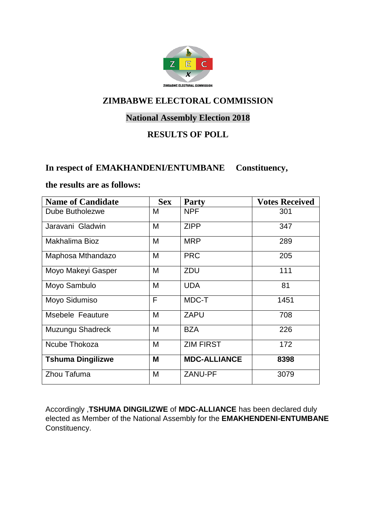

### **National Assembly Election 2018**

### **RESULTS OF POLL**

#### **In respect of EMAKHANDENI/ENTUMBANE Constituency,**

#### **the results are as follows:**

| <b>Name of Candidate</b> | <b>Sex</b> | <b>Party</b>        | <b>Votes Received</b> |
|--------------------------|------------|---------------------|-----------------------|
| Dube Butholezwe          | M          | <b>NPF</b>          | 301                   |
| Jaravani Gladwin         | M          | <b>ZIPP</b>         | 347                   |
| Makhalima Bioz           | M          | <b>MRP</b>          | 289                   |
| Maphosa Mthandazo        | M          | <b>PRC</b>          | 205                   |
| Moyo Makeyi Gasper       | M          | ZDU                 | 111                   |
| Moyo Sambulo             | M          | <b>UDA</b>          | 81                    |
| Moyo Sidumiso            | F          | MDC-T               | 1451                  |
| Msebele Feauture         | M          | <b>ZAPU</b>         | 708                   |
| Muzungu Shadreck         | M          | <b>BZA</b>          | 226                   |
| Ncube Thokoza            | M          | <b>ZIM FIRST</b>    | 172                   |
| <b>Tshuma Dingilizwe</b> | M          | <b>MDC-ALLIANCE</b> | 8398                  |
| Zhou Tafuma              | M          | <b>ZANU-PF</b>      | 3079                  |

Accordingly ,**TSHUMA DINGILIZWE** of **MDC-ALLIANCE** has been declared duly elected as Member of the National Assembly for the **EMAKHENDENI-ENTUMBANE** Constituency.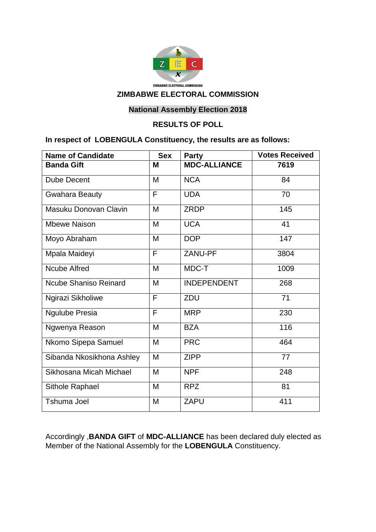

#### **National Assembly Election 2018**

#### **RESULTS OF POLL**

#### **In respect of LOBENGULA Constituency, the results are as follows:**

| <b>Name of Candidate</b>  | <b>Sex</b> | <b>Party</b>        | <b>Votes Received</b> |
|---------------------------|------------|---------------------|-----------------------|
| <b>Banda Gift</b>         | M          | <b>MDC-ALLIANCE</b> | 7619                  |
| <b>Dube Decent</b>        | M          | <b>NCA</b>          | 84                    |
| <b>Gwahara Beauty</b>     | F          | <b>UDA</b>          | 70                    |
| Masuku Donovan Clavin     | M          | <b>ZRDP</b>         | 145                   |
| <b>Mbewe Naison</b>       | M          | <b>UCA</b>          | 41                    |
| Moyo Abraham              | M          | <b>DOP</b>          | 147                   |
| Mpala Maideyi             | F          | ZANU-PF             | 3804                  |
| <b>Ncube Alfred</b>       | M          | MDC-T               | 1009                  |
| Ncube Shaniso Reinard     | M          | <b>INDEPENDENT</b>  | 268                   |
| Ngirazi Sikholiwe         | F          | <b>ZDU</b>          | 71                    |
| <b>Ngulube Presia</b>     | F          | <b>MRP</b>          | 230                   |
| Ngwenya Reason            | M          | <b>BZA</b>          | 116                   |
| Nkomo Sipepa Samuel       | M          | <b>PRC</b>          | 464                   |
| Sibanda Nkosikhona Ashley | M          | <b>ZIPP</b>         | 77                    |
| Sikhosana Micah Michael   | M          | <b>NPF</b>          | 248                   |
| Sithole Raphael           | M          | <b>RPZ</b>          | 81                    |
| <b>Tshuma Joel</b>        | M          | <b>ZAPU</b>         | 411                   |

Accordingly ,**BANDA GIFT** of **MDC-ALLIANCE** has been declared duly elected as Member of the National Assembly for the **LOBENGULA** Constituency.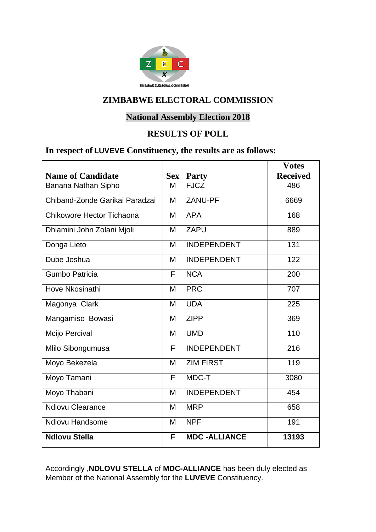

### **National Assembly Election 2018**

#### **RESULTS OF POLL**

### **In respect of LUVEVE Constituency, the results are as follows:**

|                                |            |                     | <b>Votes</b>    |
|--------------------------------|------------|---------------------|-----------------|
| <b>Name of Candidate</b>       | <b>Sex</b> | <b>Party</b>        | <b>Received</b> |
| Banana Nathan Sipho            | M          | <b>FJCZ</b>         | 486             |
| Chiband-Zonde Garikai Paradzai | M          | ZANU-PF             | 6669            |
| Chikowore Hector Tichaona      | M          | <b>APA</b>          | 168             |
| Dhlamini John Zolani Mjoli     | M          | <b>ZAPU</b>         | 889             |
| Donga Lieto                    | M          | <b>INDEPENDENT</b>  | 131             |
| Dube Joshua                    | M          | <b>INDEPENDENT</b>  | 122             |
| <b>Gumbo Patricia</b>          | F          | <b>NCA</b>          | 200             |
| Hove Nkosinathi                | M          | <b>PRC</b>          | 707             |
| Magonya Clark                  | M          | <b>UDA</b>          | 225             |
| Mangamiso Bowasi               | M          | <b>ZIPP</b>         | 369             |
| Mcijo Percival                 | M          | <b>UMD</b>          | 110             |
| Mlilo Sibongumusa              | F          | <b>INDEPENDENT</b>  | 216             |
| Moyo Bekezela                  | M          | <b>ZIM FIRST</b>    | 119             |
| Moyo Tamani                    | F          | MDC-T               | 3080            |
| Moyo Thabani                   | M          | <b>INDEPENDENT</b>  | 454             |
| <b>Ndlovu Clearance</b>        | M          | <b>MRP</b>          | 658             |
| <b>Ndlovu Handsome</b>         | M          | <b>NPF</b>          | 191             |
| <b>Ndlovu Stella</b>           | F          | <b>MDC-ALLIANCE</b> | 13193           |

Accordingly ,**NDLOVU STELLA** of **MDC-ALLIANCE** has been duly elected as Member of the National Assembly for the **LUVEVE** Constituency.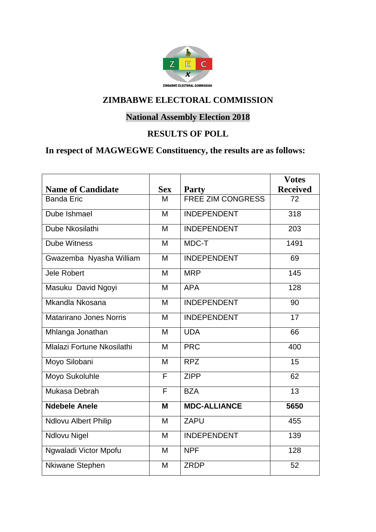

# **National Assembly Election 2018**

### **RESULTS OF POLL**

# **In respect of MAGWEGWE Constituency, the results are as follows:**

|                             |            |                          | <b>Votes</b>    |
|-----------------------------|------------|--------------------------|-----------------|
| <b>Name of Candidate</b>    | <b>Sex</b> | <b>Party</b>             | <b>Received</b> |
| <b>Banda Eric</b>           | M          | <b>FREE ZIM CONGRESS</b> | 72              |
| Dube Ishmael                | M          | <b>INDEPENDENT</b>       | 318             |
| Dube Nkosilathi             | M          | <b>INDEPENDENT</b>       | 203             |
| <b>Dube Witness</b>         | M          | MDC-T                    | 1491            |
| Gwazemba Nyasha William     | M          | <b>INDEPENDENT</b>       | 69              |
| <b>Jele Robert</b>          | M          | <b>MRP</b>               | 145             |
| Masuku David Ngoyi          | M          | <b>APA</b>               | 128             |
| Mkandla Nkosana             | M          | <b>INDEPENDENT</b>       | 90              |
| Matarirano Jones Norris     | M          | <b>INDEPENDENT</b>       | $\overline{17}$ |
| Mhlanga Jonathan            | M          | <b>UDA</b>               | 66              |
| Mlalazi Fortune Nkosilathi  | M          | <b>PRC</b>               | 400             |
| Moyo Silobani               | M          | <b>RPZ</b>               | 15              |
| Moyo Sukoluhle              | F          | <b>ZIPP</b>              | 62              |
| Mukasa Debrah               | F          | <b>BZA</b>               | 13              |
| <b>Ndebele Anele</b>        | M          | <b>MDC-ALLIANCE</b>      | 5650            |
| <b>Ndlovu Albert Philip</b> | M          | <b>ZAPU</b>              | 455             |
| <b>Ndlovu Nigel</b>         | M          | <b>INDEPENDENT</b>       | 139             |
| Ngwaladi Victor Mpofu       | M          | <b>NPF</b>               | 128             |
| Nkiwane Stephen             | M          | <b>ZRDP</b>              | 52              |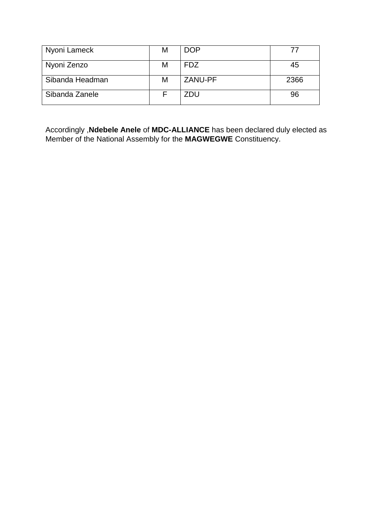| Nyoni Lameck    | м | <b>DOP</b> | 77   |
|-----------------|---|------------|------|
| Nyoni Zenzo     | M | <b>FDZ</b> | 45   |
| Sibanda Headman | М | ZANU-PF    | 2366 |
| Sibanda Zanele  |   | ZDU        | 96   |

Accordingly ,**Ndebele Anele** of **MDC-ALLIANCE** has been declared duly elected as Member of the National Assembly for the **MAGWEGWE** Constituency.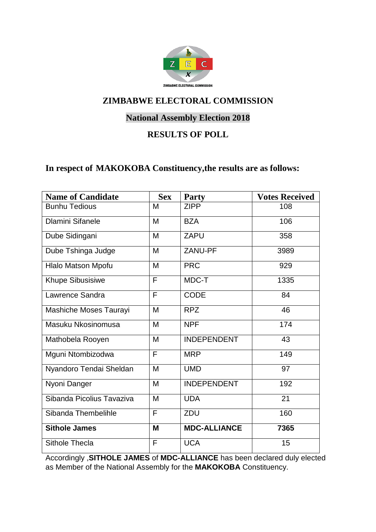

### **National Assembly Election 2018**

### **RESULTS OF POLL**

#### **In respect of MAKOKOBA Constituency,the results are as follows:**

| <b>Name of Candidate</b>  | <b>Sex</b> | <b>Party</b>        | <b>Votes Received</b> |
|---------------------------|------------|---------------------|-----------------------|
| <b>Bunhu Tedious</b>      | M          | <b>ZIPP</b>         | 108                   |
| <b>Dlamini Sifanele</b>   | M          | <b>BZA</b>          | 106                   |
| Dube Sidingani            | M          | <b>ZAPU</b>         | 358                   |
| Dube Tshinga Judge        | M          | ZANU-PF             | 3989                  |
| Hlalo Matson Mpofu        | M          | <b>PRC</b>          | 929                   |
| <b>Khupe Sibusisiwe</b>   | F          | MDC-T               | 1335                  |
| Lawrence Sandra           | F          | <b>CODE</b>         | 84                    |
| Mashiche Moses Taurayi    | M          | <b>RPZ</b>          | 46                    |
| Masuku Nkosinomusa        | M          | <b>NPF</b>          | 174                   |
| Mathobela Rooyen          | M          | <b>INDEPENDENT</b>  | 43                    |
| Mguni Ntombizodwa         | F          | <b>MRP</b>          | 149                   |
| Nyandoro Tendai Sheldan   | M          | <b>UMD</b>          | 97                    |
| Nyoni Danger              | M          | <b>INDEPENDENT</b>  | 192                   |
| Sibanda Picolius Tavaziva | M          | <b>UDA</b>          | 21                    |
| Sibanda Thembelihle       | F          | ZDU                 | 160                   |
| <b>Sithole James</b>      | M          | <b>MDC-ALLIANCE</b> | 7365                  |
| <b>Sithole Thecla</b>     | F          | <b>UCA</b>          | 15                    |

Accordingly ,**SITHOLE JAMES** of **MDC-ALLIANCE** has been declared duly elected as Member of the National Assembly for the **MAKOKOBA** Constituency.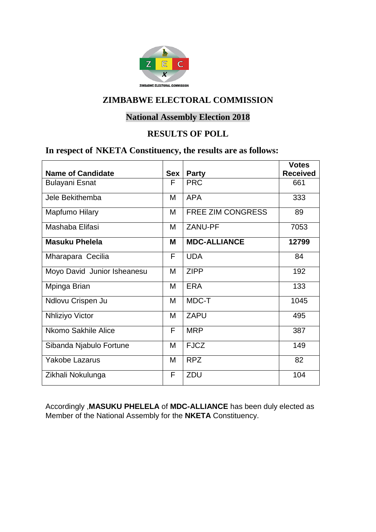

### **National Assembly Election 2018**

#### **RESULTS OF POLL**

### **In respect of NKETA Constituency, the results are as follows:**

|                             |     |                          | <b>Votes</b>    |
|-----------------------------|-----|--------------------------|-----------------|
| <b>Name of Candidate</b>    | Sex | <b>Party</b>             | <b>Received</b> |
| <b>Bulayani Esnat</b>       | F   | <b>PRC</b>               | 661             |
| Jele Bekithemba             | M   | <b>APA</b>               | 333             |
| Mapfumo Hilary              | M   | <b>FREE ZIM CONGRESS</b> | 89              |
| Mashaba Elifasi             | м   | ZANU-PF                  | 7053            |
| <b>Masuku Phelela</b>       | М   | <b>MDC-ALLIANCE</b>      | 12799           |
| Mharapara Cecilia           | F   | <b>UDA</b>               | 84              |
| Moyo David Junior Isheanesu | M   | <b>ZIPP</b>              | 192             |
| Mpinga Brian                | M   | <b>ERA</b>               | 133             |
| Ndlovu Crispen Ju           | M   | MDC-T                    | 1045            |
| Nhliziyo Victor             | М   | <b>ZAPU</b>              | 495             |
| Nkomo Sakhile Alice         | F   | <b>MRP</b>               | 387             |
| Sibanda Njabulo Fortune     | м   | <b>FJCZ</b>              | 149             |
| <b>Yakobe Lazarus</b>       | M   | <b>RPZ</b>               | 82              |
| Zikhali Nokulunga           | F   | ZDU                      | 104             |

Accordingly ,**MASUKU PHELELA** of **MDC-ALLIANCE** has been duly elected as Member of the National Assembly for the **NKETA** Constituency.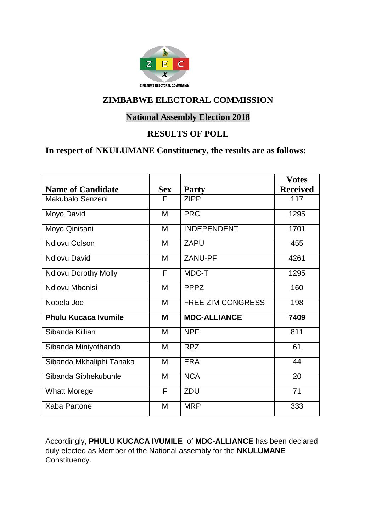

### **National Assembly Election 2018**

#### **RESULTS OF POLL**

## **In respect of NKULUMANE Constituency, the results are as follows:**

|                             |            |                          | <b>Votes</b>    |
|-----------------------------|------------|--------------------------|-----------------|
| <b>Name of Candidate</b>    | <b>Sex</b> | <b>Party</b>             | <b>Received</b> |
| Makubalo Senzeni            | F          | <b>ZIPP</b>              | 117             |
| Moyo David                  | M          | <b>PRC</b>               | 1295            |
| Moyo Qinisani               | M          | <b>INDEPENDENT</b>       | 1701            |
| <b>Ndlovu Colson</b>        | M          | ZAPU                     | 455             |
| <b>Ndlovu David</b>         | M          | ZANU-PF                  | 4261            |
| <b>Ndlovu Dorothy Molly</b> | F          | MDC-T                    | 1295            |
| Ndlovu Mbonisi              | M          | <b>PPPZ</b>              | 160             |
| Nobela Joe                  | M          | <b>FREE ZIM CONGRESS</b> | 198             |
| <b>Phulu Kucaca Ivumile</b> | M          | <b>MDC-ALLIANCE</b>      | 7409            |
| Sibanda Killian             | M          | <b>NPF</b>               | 811             |
| Sibanda Miniyothando        | M          | <b>RPZ</b>               | 61              |
| Sibanda Mkhaliphi Tanaka    | M          | <b>ERA</b>               | 44              |
| Sibanda Sibhekubuhle        | M          | <b>NCA</b>               | 20              |
| <b>Whatt Morege</b>         | F          | ZDU                      | 71              |
| Xaba Partone                | M          | <b>MRP</b>               | 333             |

Accordingly, **PHULU KUCACA IVUMILE** of **MDC-ALLIANCE** has been declared duly elected as Member of the National assembly for the **NKULUMANE** Constituency.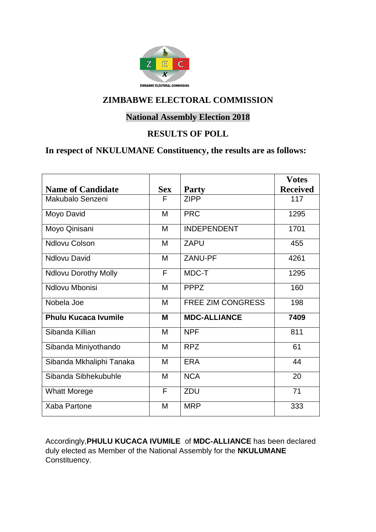

### **National Assembly Election 2018**

#### **RESULTS OF POLL**

## **In respect of NKULUMANE Constituency, the results are as follows:**

|                             |            |                          | <b>Votes</b>    |
|-----------------------------|------------|--------------------------|-----------------|
| <b>Name of Candidate</b>    | <b>Sex</b> | <b>Party</b>             | <b>Received</b> |
| Makubalo Senzeni            | F          | <b>ZIPP</b>              | 117             |
| Moyo David                  | M          | <b>PRC</b>               | 1295            |
| Moyo Qinisani               | M          | <b>INDEPENDENT</b>       | 1701            |
| <b>Ndlovu Colson</b>        | M          | <b>ZAPU</b>              | 455             |
| <b>Ndlovu David</b>         | M          | ZANU-PF                  | 4261            |
| <b>Ndlovu Dorothy Molly</b> | F          | MDC-T                    | 1295            |
| Ndlovu Mbonisi              | M          | <b>PPPZ</b>              | 160             |
| Nobela Joe                  | M          | <b>FREE ZIM CONGRESS</b> | 198             |
| Phulu Kucaca Ivumile        | M          | <b>MDC-ALLIANCE</b>      | 7409            |
| Sibanda Killian             | M          | <b>NPF</b>               | 811             |
| Sibanda Miniyothando        | M          | <b>RPZ</b>               | 61              |
| Sibanda Mkhaliphi Tanaka    | M          | <b>ERA</b>               | 44              |
| Sibanda Sibhekubuhle        | M          | <b>NCA</b>               | 20              |
| <b>Whatt Morege</b>         | F          | <b>ZDU</b>               | 71              |
| Xaba Partone                | M          | <b>MRP</b>               | 333             |

Accordingly,**PHULU KUCACA IVUMILE** of **MDC-ALLIANCE** has been declared duly elected as Member of the National Assembly for the **NKULUMANE** Constituency.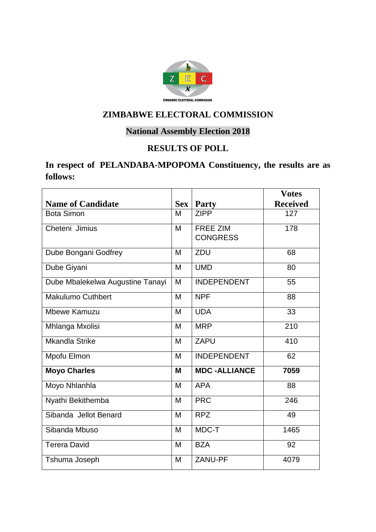

# **National Assembly Election 2018**

#### **RESULTS OF POLL**

### **In respect of PELANDABA-MPOPOMA Constituency, the results are as follows:**

|                                  |            |                                    | <b>Votes</b>    |
|----------------------------------|------------|------------------------------------|-----------------|
| <b>Name of Candidate</b>         | <b>Sex</b> | <b>Party</b>                       | <b>Received</b> |
| <b>Bota Simon</b>                | M          | <b>ZIPP</b>                        | 127             |
| Cheteni Jimius                   | M          | <b>FREE ZIM</b><br><b>CONGRESS</b> | 178             |
| Dube Bongani Godfrey             | M          | ZDU                                | 68              |
| Dube Giyani                      | M          | <b>UMD</b>                         | 80              |
| Dube Mbalekelwa Augustine Tanayi | M          | <b>INDEPENDENT</b>                 | 55              |
| <b>Makulumo Cuthbert</b>         | M          | <b>NPF</b>                         | 88              |
| <b>Mbewe Kamuzu</b>              | M          | <b>UDA</b>                         | 33              |
| Mhlanga Mxolisi                  | M          | <b>MRP</b>                         | 210             |
| <b>Mkandla Strike</b>            | M          | <b>ZAPU</b>                        | 410             |
| Mpofu Elmon                      | M          | <b>INDEPENDENT</b>                 | 62              |
| <b>Moyo Charles</b>              | M          | <b>MDC-ALLIANCE</b>                | 7059            |
| Moyo Nhlanhla                    | M          | <b>APA</b>                         | 88              |
| Nyathi Bekithemba                | M          | <b>PRC</b>                         | 246             |
| Sibanda Jellot Benard            | M          | <b>RPZ</b>                         | 49              |
| Sibanda Mbuso                    | M          | MDC-T                              | 1465            |
| <b>Terera David</b>              | M          | <b>BZA</b>                         | 92              |
| Tshuma Joseph                    | M          | ZANU-PF                            | 4079            |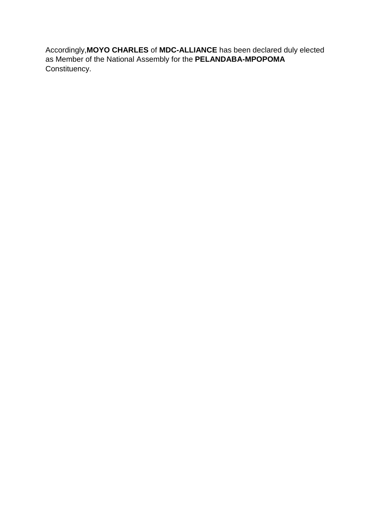Accordingly,**MOYO CHARLES** of **MDC-ALLIANCE** has been declared duly elected as Member of the National Assembly for the **PELANDABA-MPOPOMA** Constituency.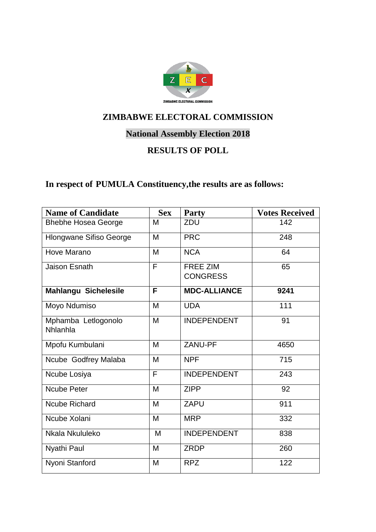

# **National Assembly Election 2018**

## **RESULTS OF POLL**

# **In respect of PUMULA Constituency,the results are as follows:**

| <b>Name of Candidate</b>        | <b>Sex</b> | <b>Party</b>                       | <b>Votes Received</b> |
|---------------------------------|------------|------------------------------------|-----------------------|
| <b>Bhebhe Hosea George</b>      | M          | ZDU                                | 142                   |
| Hlongwane Sifiso George         | M          | <b>PRC</b>                         | 248                   |
| Hove Marano                     | M          | <b>NCA</b>                         | 64                    |
| Jaison Esnath                   | F          | <b>FREE ZIM</b><br><b>CONGRESS</b> | 65                    |
| <b>Mahlangu Sichelesile</b>     | F          | <b>MDC-ALLIANCE</b>                | 9241                  |
| Moyo Ndumiso                    | M          | <b>UDA</b>                         | 111                   |
| Mphamba Letlogonolo<br>Nhlanhla | M          | <b>INDEPENDENT</b>                 | 91                    |
| Mpofu Kumbulani                 | M          | ZANU-PF                            | 4650                  |
| Ncube Godfrey Malaba            | M          | <b>NPF</b>                         | 715                   |
| Ncube Losiya                    | F          | <b>INDEPENDENT</b>                 | 243                   |
| <b>Ncube Peter</b>              | M          | <b>ZIPP</b>                        | 92                    |
| <b>Ncube Richard</b>            | M          | <b>ZAPU</b>                        | 911                   |
| Ncube Xolani                    | M          | <b>MRP</b>                         | 332                   |
| Nkala Nkululeko                 | M          | <b>INDEPENDENT</b>                 | 838                   |
| Nyathi Paul                     | M          | <b>ZRDP</b>                        | 260                   |
| Nyoni Stanford                  | M          | <b>RPZ</b>                         | 122                   |